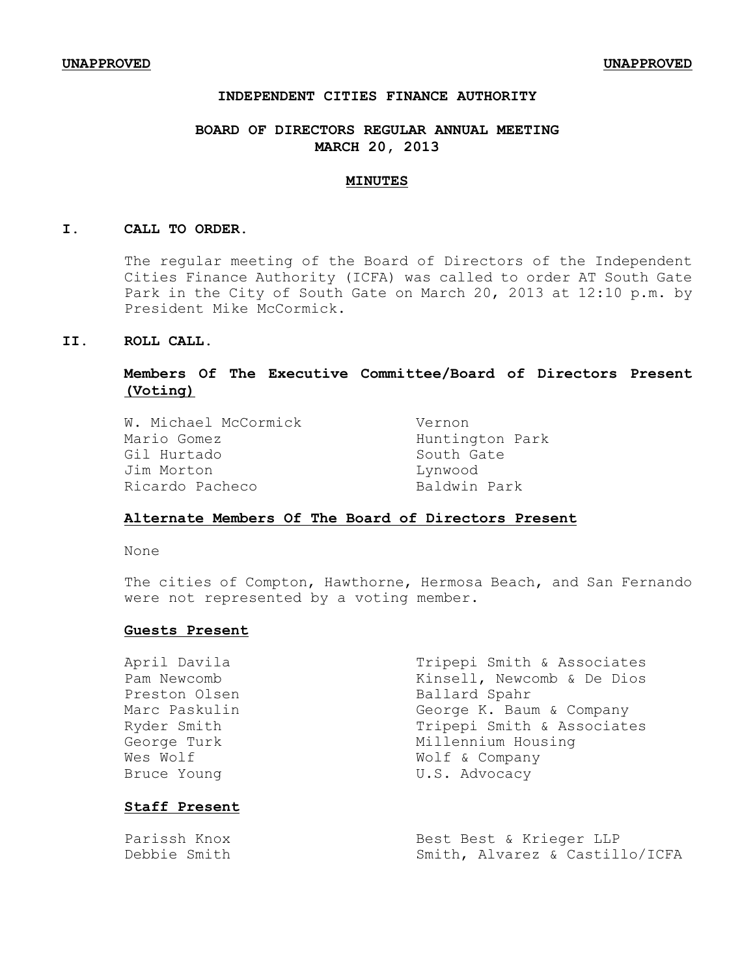## **INDEPENDENT CITIES FINANCE AUTHORITY**

## **BOARD OF DIRECTORS REGULAR ANNUAL MEETING MARCH 20, 2013**

#### **MINUTES**

#### **I. CALL TO ORDER.**

The regular meeting of the Board of Directors of the Independent Cities Finance Authority (ICFA) was called to order AT South Gate Park in the City of South Gate on March 20, 2013 at 12:10 p.m. by President Mike McCormick.

### **II. ROLL CALL.**

## **Members Of The Executive Committee/Board of Directors Present (Voting)**

| Vernon          |
|-----------------|
| Huntington Park |
| South Gate      |
| Lynwood         |
| Baldwin Park    |
|                 |

#### **Alternate Members Of The Board of Directors Present**

None

The cities of Compton, Hawthorne, Hermosa Beach, and San Fernando were not represented by a voting member.

### **Guests Present**

| April Davila         | Tripepi Smith & Associates |
|----------------------|----------------------------|
| Pam Newcomb          | Kinsell, Newcomb & De Dios |
| Preston Olsen        | Ballard Spahr              |
| Marc Paskulin        | George K. Baum & Company   |
| Ryder Smith          | Tripepi Smith & Associates |
| George Turk          | Millennium Housing         |
| Wes Wolf             | Wolf & Company             |
| Bruce Young          | U.S. Advocacy              |
| <b>Staff Present</b> |                            |

Parissh Knox Best Best & Krieger LLP<br>Debbie Smith Muslim Smith, Alvarez & Castil Smith, Alvarez & Castillo/ICFA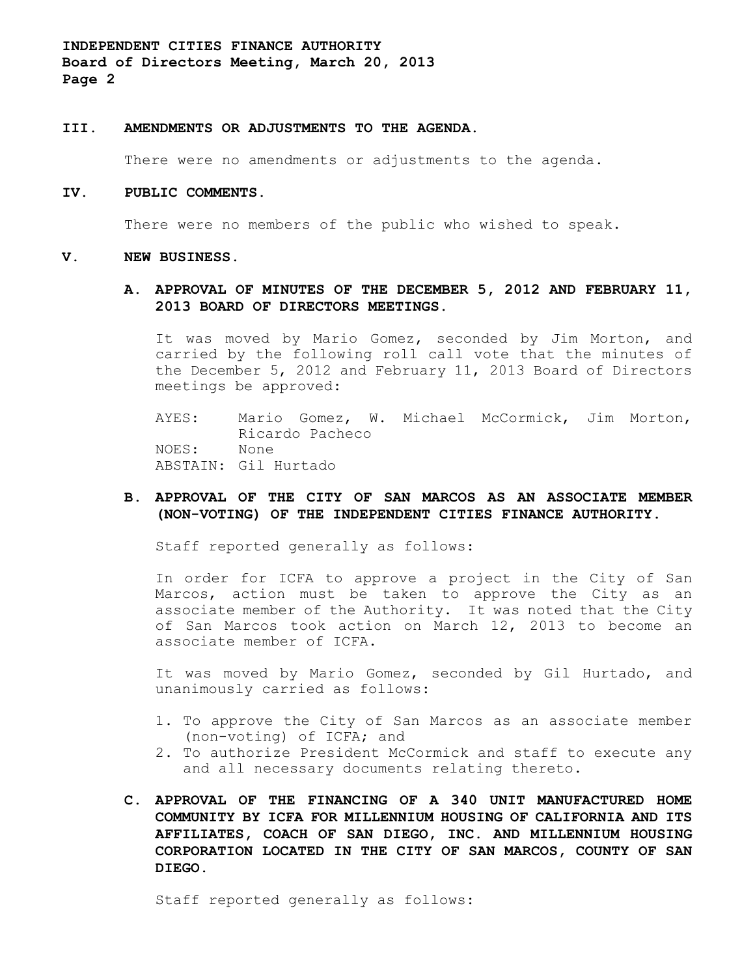#### **III. AMENDMENTS OR ADJUSTMENTS TO THE AGENDA**.

There were no amendments or adjustments to the agenda.

#### **IV. PUBLIC COMMENTS.**

There were no members of the public who wished to speak.

#### **V. NEW BUSINESS.**

### **A. APPROVAL OF MINUTES OF THE DECEMBER 5, 2012 AND FEBRUARY 11, 2013 BOARD OF DIRECTORS MEETINGS.**

It was moved by Mario Gomez, seconded by Jim Morton, and carried by the following roll call vote that the minutes of the December 5, 2012 and February 11, 2013 Board of Directors meetings be approved:

AYES: Mario Gomez, W. Michael McCormick, Jim Morton, Ricardo Pacheco NOES: None ABSTAIN: Gil Hurtado

### **B. APPROVAL OF THE CITY OF SAN MARCOS AS AN ASSOCIATE MEMBER (NON-VOTING) OF THE INDEPENDENT CITIES FINANCE AUTHORITY.**

Staff reported generally as follows:

In order for ICFA to approve a project in the City of San Marcos, action must be taken to approve the City as an associate member of the Authority. It was noted that the City of San Marcos took action on March 12, 2013 to become an associate member of ICFA.

It was moved by Mario Gomez, seconded by Gil Hurtado, and unanimously carried as follows:

- 1. To approve the City of San Marcos as an associate member (non-voting) of ICFA; and
- 2. To authorize President McCormick and staff to execute any and all necessary documents relating thereto.
- **C. APPROVAL OF THE FINANCING OF A 340 UNIT MANUFACTURED HOME COMMUNITY BY ICFA FOR MILLENNIUM HOUSING OF CALIFORNIA AND ITS AFFILIATES, COACH OF SAN DIEGO, INC. AND MILLENNIUM HOUSING CORPORATION LOCATED IN THE CITY OF SAN MARCOS, COUNTY OF SAN DIEGO.**

Staff reported generally as follows: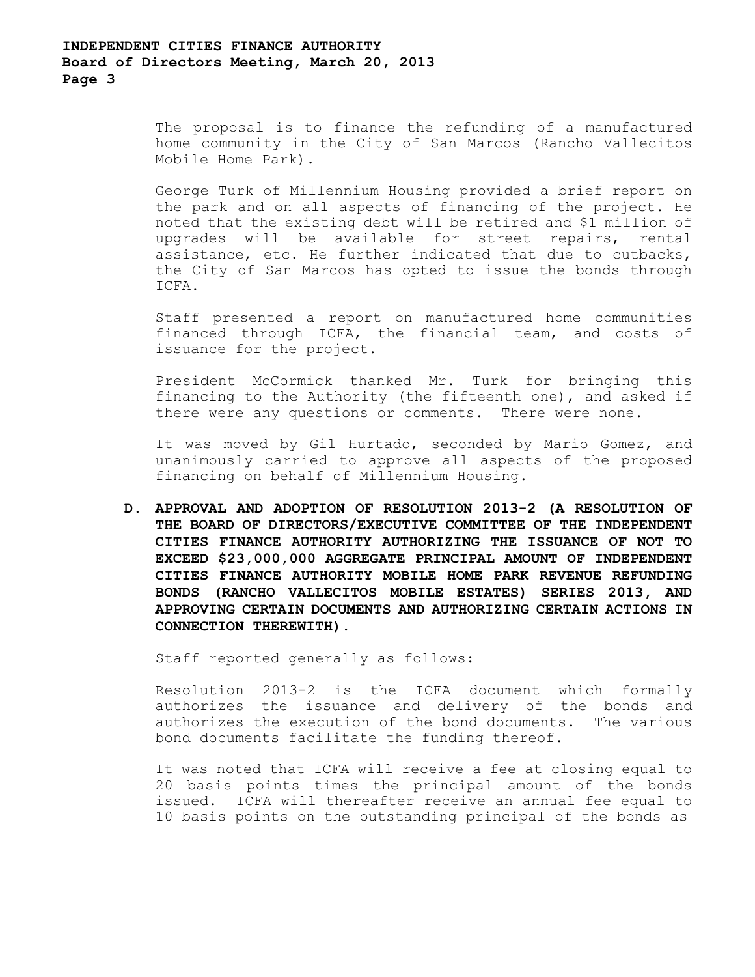The proposal is to finance the refunding of a manufactured home community in the City of San Marcos (Rancho Vallecitos Mobile Home Park).

George Turk of Millennium Housing provided a brief report on the park and on all aspects of financing of the project. He noted that the existing debt will be retired and \$1 million of upgrades will be available for street repairs, rental assistance, etc. He further indicated that due to cutbacks, the City of San Marcos has opted to issue the bonds through ICFA.

Staff presented a report on manufactured home communities financed through ICFA, the financial team, and costs of issuance for the project.

President McCormick thanked Mr. Turk for bringing this financing to the Authority (the fifteenth one), and asked if there were any questions or comments. There were none.

It was moved by Gil Hurtado, seconded by Mario Gomez, and unanimously carried to approve all aspects of the proposed financing on behalf of Millennium Housing.

**D. APPROVAL AND ADOPTION OF RESOLUTION 2013-2 (A RESOLUTION OF THE BOARD OF DIRECTORS/EXECUTIVE COMMITTEE OF THE INDEPENDENT CITIES FINANCE AUTHORITY AUTHORIZING THE ISSUANCE OF NOT TO EXCEED \$23,000,000 AGGREGATE PRINCIPAL AMOUNT OF INDEPENDENT CITIES FINANCE AUTHORITY MOBILE HOME PARK REVENUE REFUNDING BONDS (RANCHO VALLECITOS MOBILE ESTATES) SERIES 2013, AND APPROVING CERTAIN DOCUMENTS AND AUTHORIZING CERTAIN ACTIONS IN CONNECTION THEREWITH).**

Staff reported generally as follows:

Resolution 2013-2 is the ICFA document which formally authorizes the issuance and delivery of the bonds and authorizes the execution of the bond documents. The various bond documents facilitate the funding thereof.

It was noted that ICFA will receive a fee at closing equal to 20 basis points times the principal amount of the bonds issued. ICFA will thereafter receive an annual fee equal to 10 basis points on the outstanding principal of the bonds as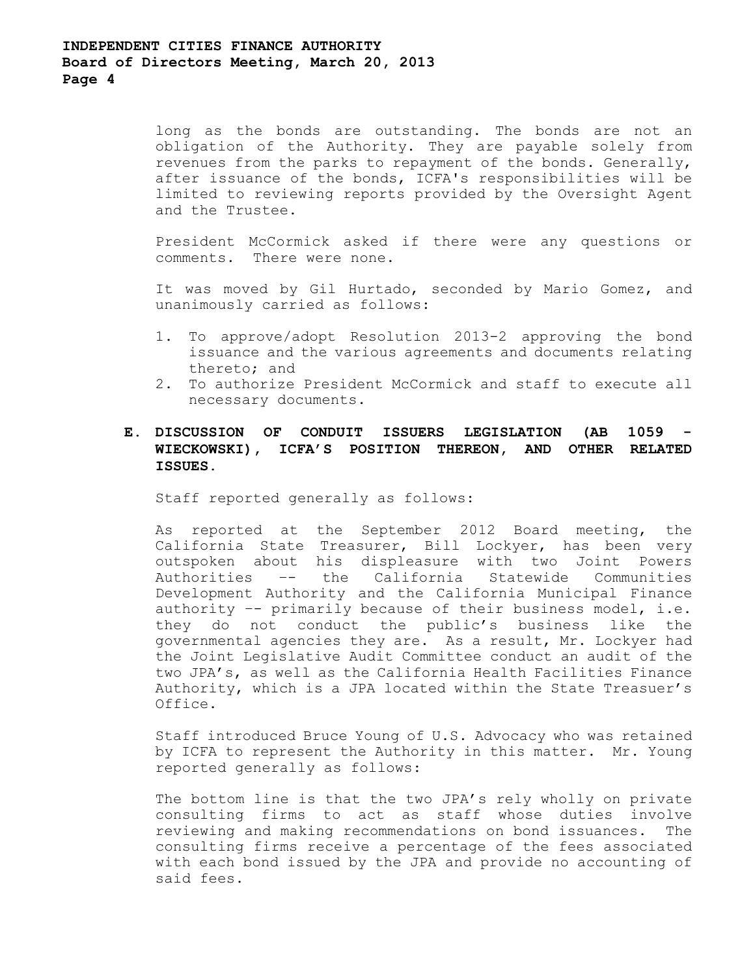long as the bonds are outstanding. The bonds are not an obligation of the Authority. They are payable solely from revenues from the parks to repayment of the bonds. Generally, after issuance of the bonds, ICFA's responsibilities will be limited to reviewing reports provided by the Oversight Agent and the Trustee.

President McCormick asked if there were any questions or comments. There were none.

It was moved by Gil Hurtado, seconded by Mario Gomez, and unanimously carried as follows:

- 1. To approve/adopt Resolution 2013-2 approving the bond issuance and the various agreements and documents relating thereto; and
- 2. To authorize President McCormick and staff to execute all necessary documents.

## **E. DISCUSSION OF CONDUIT ISSUERS LEGISLATION (AB 1059 - WIECKOWSKI), ICFA'S POSITION THEREON, AND OTHER RELATED ISSUES.**

Staff reported generally as follows:

As reported at the September 2012 Board meeting, the California State Treasurer, Bill Lockyer, has been very outspoken about his displeasure with two Joint Powers Authorities –- the California Statewide Communities Development Authority and the California Municipal Finance authority –- primarily because of their business model, i.e. they do not conduct the public's business like the governmental agencies they are. As a result, Mr. Lockyer had the Joint Legislative Audit Committee conduct an audit of the two JPA's, as well as the California Health Facilities Finance Authority, which is a JPA located within the State Treasuer's Office.

Staff introduced Bruce Young of U.S. Advocacy who was retained by ICFA to represent the Authority in this matter. Mr. Young reported generally as follows:

The bottom line is that the two JPA's rely wholly on private consulting firms to act as staff whose duties involve reviewing and making recommendations on bond issuances. The consulting firms receive a percentage of the fees associated with each bond issued by the JPA and provide no accounting of said fees.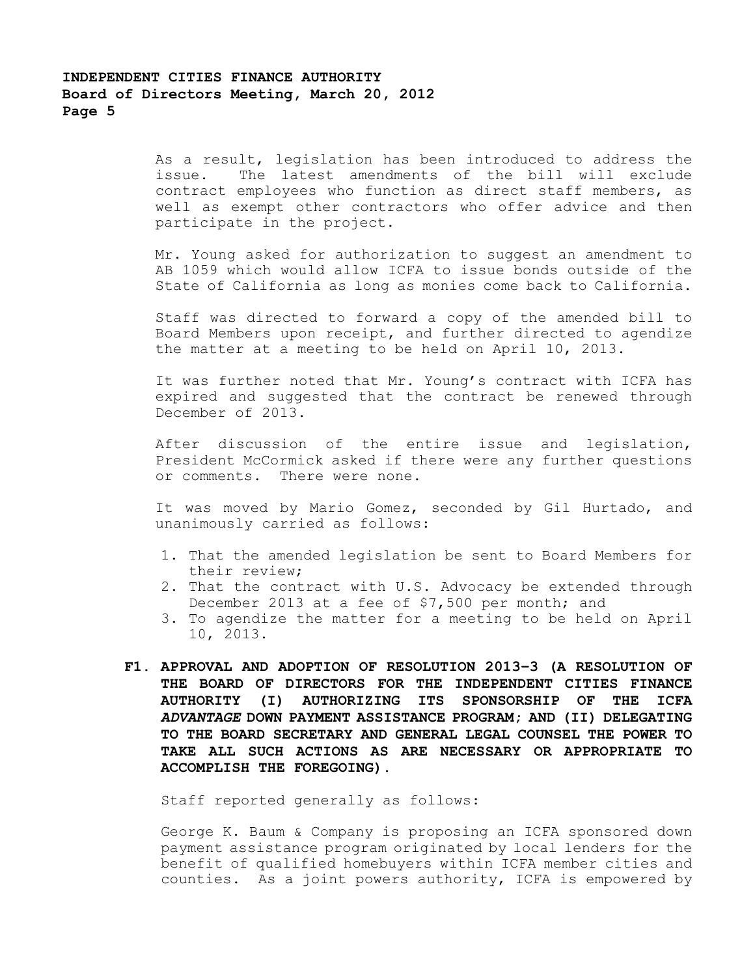As a result, legislation has been introduced to address the issue. The latest amendments of the bill will exclude contract employees who function as direct staff members, as well as exempt other contractors who offer advice and then participate in the project.

Mr. Young asked for authorization to suggest an amendment to AB 1059 which would allow ICFA to issue bonds outside of the State of California as long as monies come back to California.

Staff was directed to forward a copy of the amended bill to Board Members upon receipt, and further directed to agendize the matter at a meeting to be held on April 10, 2013.

It was further noted that Mr. Young's contract with ICFA has expired and suggested that the contract be renewed through December of 2013.

After discussion of the entire issue and legislation, President McCormick asked if there were any further questions or comments. There were none.

It was moved by Mario Gomez, seconded by Gil Hurtado, and unanimously carried as follows:

- 1. That the amended legislation be sent to Board Members for their review;
- 2. That the contract with U.S. Advocacy be extended through December 2013 at a fee of \$7,500 per month; and
- 3. To agendize the matter for a meeting to be held on April 10, 2013.
- **F1. APPROVAL AND ADOPTION OF RESOLUTION 2013–3 (A RESOLUTION OF THE BOARD OF DIRECTORS FOR THE INDEPENDENT CITIES FINANCE AUTHORITY (I) AUTHORIZING ITS SPONSORSHIP OF THE ICFA** *ADVANTAGE* **DOWN PAYMENT ASSISTANCE PROGRAM; AND (II) DELEGATING TO THE BOARD SECRETARY AND GENERAL LEGAL COUNSEL THE POWER TO TAKE ALL SUCH ACTIONS AS ARE NECESSARY OR APPROPRIATE TO ACCOMPLISH THE FOREGOING).**

Staff reported generally as follows:

George K. Baum & Company is proposing an ICFA sponsored down payment assistance program originated by local lenders for the benefit of qualified homebuyers within ICFA member cities and counties. As a joint powers authority, ICFA is empowered by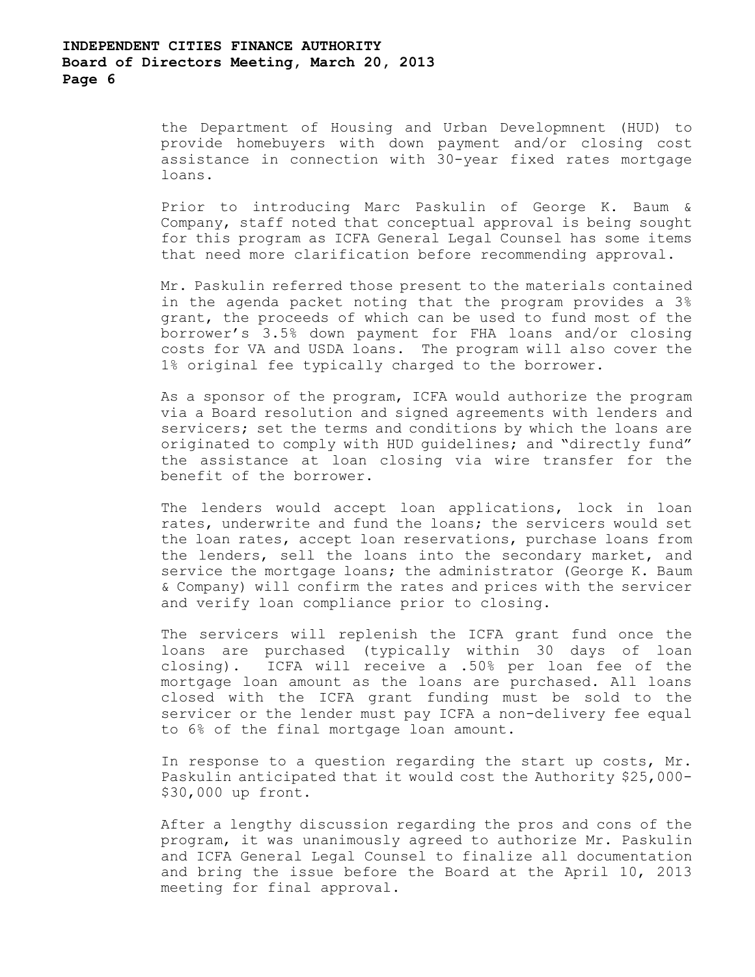the Department of Housing and Urban Developmnent (HUD) to provide homebuyers with down payment and/or closing cost assistance in connection with 30-year fixed rates mortgage loans.

Prior to introducing Marc Paskulin of George K. Baum & Company, staff noted that conceptual approval is being sought for this program as ICFA General Legal Counsel has some items that need more clarification before recommending approval.

Mr. Paskulin referred those present to the materials contained in the agenda packet noting that the program provides a 3% grant, the proceeds of which can be used to fund most of the borrower's 3.5% down payment for FHA loans and/or closing costs for VA and USDA loans. The program will also cover the 1% original fee typically charged to the borrower.

As a sponsor of the program, ICFA would authorize the program via a Board resolution and signed agreements with lenders and servicers; set the terms and conditions by which the loans are originated to comply with HUD guidelines; and "directly fund" the assistance at loan closing via wire transfer for the benefit of the borrower.

The lenders would accept loan applications, lock in loan rates, underwrite and fund the loans; the servicers would set the loan rates, accept loan reservations, purchase loans from the lenders, sell the loans into the secondary market, and service the mortgage loans; the administrator (George K. Baum & Company) will confirm the rates and prices with the servicer and verify loan compliance prior to closing.

The servicers will replenish the ICFA grant fund once the loans are purchased (typically within 30 days of loan closing). ICFA will receive a .50% per loan fee of the mortgage loan amount as the loans are purchased. All loans closed with the ICFA grant funding must be sold to the servicer or the lender must pay ICFA a non-delivery fee equal to 6% of the final mortgage loan amount.

In response to a question regarding the start up costs, Mr. Paskulin anticipated that it would cost the Authority \$25,000- \$30,000 up front.

After a lengthy discussion regarding the pros and cons of the program, it was unanimously agreed to authorize Mr. Paskulin and ICFA General Legal Counsel to finalize all documentation and bring the issue before the Board at the April 10, 2013 meeting for final approval.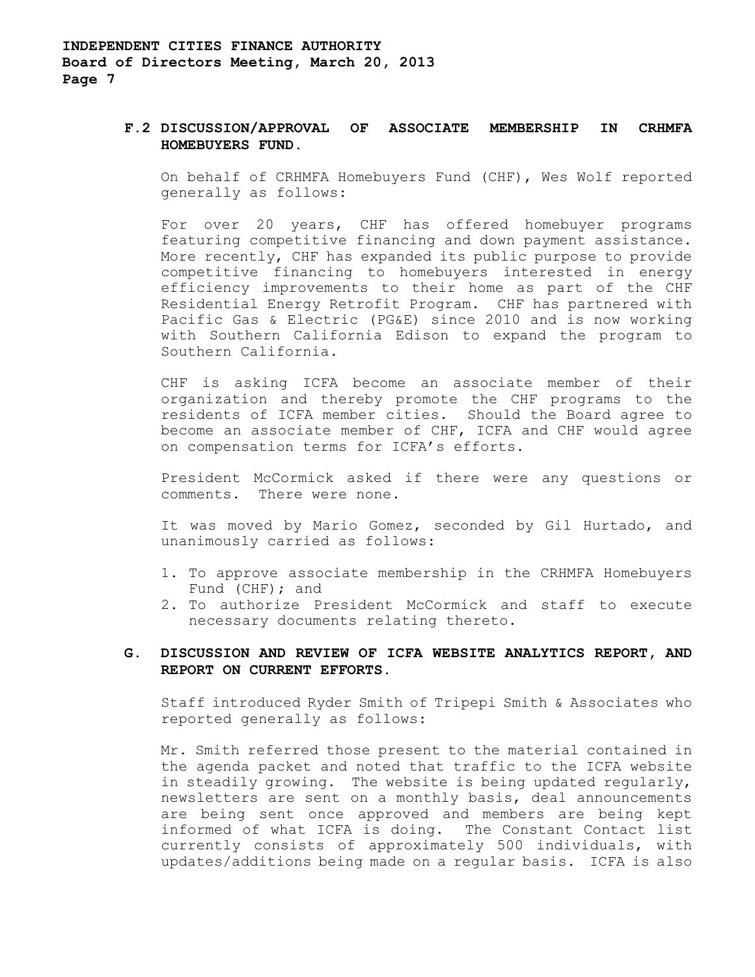### **F.2 DISCUSSION/APPROVAL OF ASSOCIATE MEMBERSHIP IN CRHMFA HOMEBUYERS FUND.**

On behalf of CRHMFA Homebuyers Fund (CHF), Wes Wolf reported generally as follows:

For over 20 years, CHF has offered homebuyer programs featuring competitive financing and down payment assistance. More recently, CHF has expanded its public purpose to provide competitive financing to homebuyers interested in energy efficiency improvements to their home as part of the CHF Residential Energy Retrofit Program. CHF has partnered with Pacific Gas & Electric (PG&E) since 2010 and is now working with Southern California Edison to expand the program to Southern California.

CHF is asking ICFA become an associate member of their organization and thereby promote the CHF programs to the residents of ICFA member cities. Should the Board agree to become an associate member of CHF, ICFA and CHF would agree on compensation terms for ICFA's efforts.

President McCormick asked if there were any questions or comments. There were none.

It was moved by Mario Gomez, seconded by Gil Hurtado, and unanimously carried as follows:

- 1. To approve associate membership in the CRHMFA Homebuyers Fund (CHF); and
- 2. To authorize President McCormick and staff to execute necessary documents relating thereto.

## **G. DISCUSSION AND REVIEW OF ICFA WEBSITE ANALYTICS REPORT, AND REPORT ON CURRENT EFFORTS.**

Staff introduced Ryder Smith of Tripepi Smith & Associates who reported generally as follows:

Mr. Smith referred those present to the material contained in the agenda packet and noted that traffic to the ICFA website in steadily growing. The website is being updated regularly, newsletters are sent on a monthly basis, deal announcements are being sent once approved and members are being kept informed of what ICFA is doing. The Constant Contact list currently consists of approximately 500 individuals, with updates/additions being made on a regular basis. ICFA is also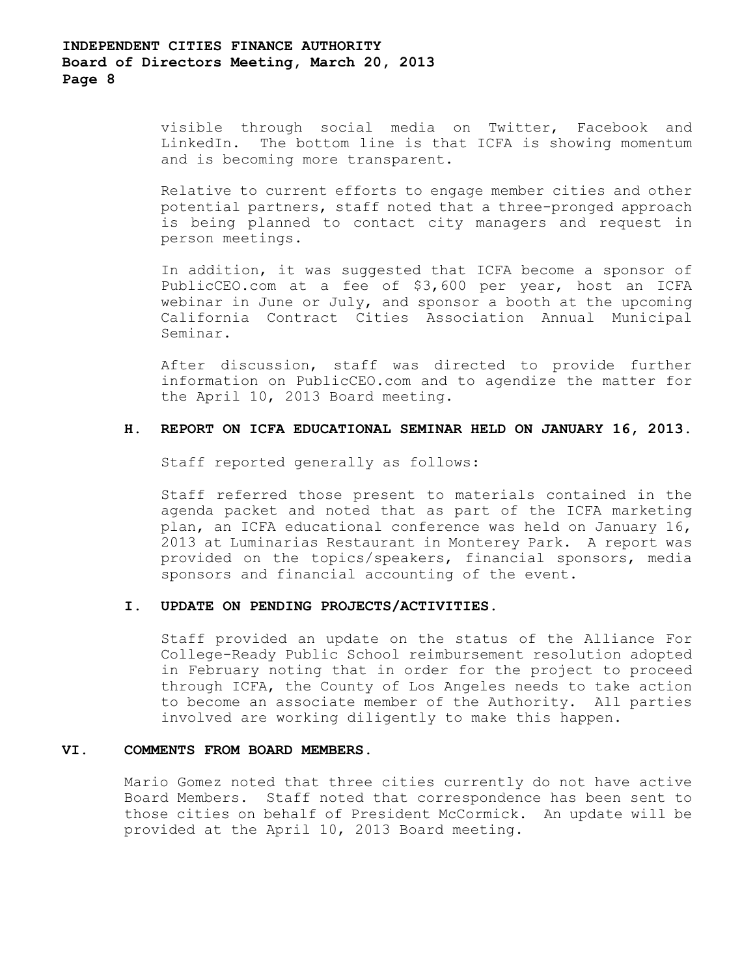visible through social media on Twitter, Facebook and LinkedIn. The bottom line is that ICFA is showing momentum and is becoming more transparent.

Relative to current efforts to engage member cities and other potential partners, staff noted that a three-pronged approach is being planned to contact city managers and request in person meetings.

In addition, it was suggested that ICFA become a sponsor of PublicCEO.com at a fee of \$3,600 per year, host an ICFA webinar in June or July, and sponsor a booth at the upcoming California Contract Cities Association Annual Municipal Seminar.

After discussion, staff was directed to provide further information on PublicCEO.com and to agendize the matter for the April 10, 2013 Board meeting.

### **H. REPORT ON ICFA EDUCATIONAL SEMINAR HELD ON JANUARY 16, 2013.**

Staff reported generally as follows:

Staff referred those present to materials contained in the agenda packet and noted that as part of the ICFA marketing plan, an ICFA educational conference was held on January 16, 2013 at Luminarias Restaurant in Monterey Park. A report was provided on the topics/speakers, financial sponsors, media sponsors and financial accounting of the event.

#### **I. UPDATE ON PENDING PROJECTS/ACTIVITIES.**

Staff provided an update on the status of the Alliance For College-Ready Public School reimbursement resolution adopted in February noting that in order for the project to proceed through ICFA, the County of Los Angeles needs to take action to become an associate member of the Authority. All parties involved are working diligently to make this happen.

#### **VI. COMMENTS FROM BOARD MEMBERS.**

Mario Gomez noted that three cities currently do not have active Board Members. Staff noted that correspondence has been sent to those cities on behalf of President McCormick. An update will be provided at the April 10, 2013 Board meeting.